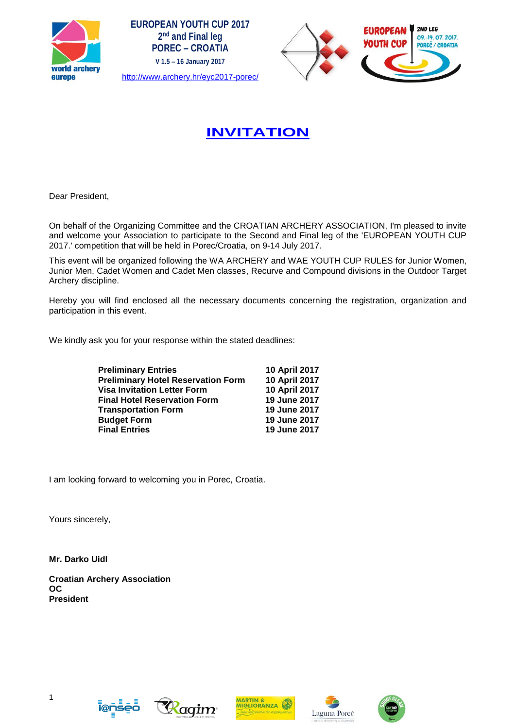





# **[INVITATION](http://www.archery.hr/eyc2017-porec/invitation/)**

Dear President,

On behalf of the Organizing Committee and the CROATIAN ARCHERY ASSOCIATION, I'm pleased to invite and welcome your Association to participate to the Second and Final leg of the 'EUROPEAN YOUTH CUP 2017.' competition that will be held in Porec/Croatia, on 9-14 July 2017.

This event will be organized following the WA ARCHERY and WAE YOUTH CUP RULES for Junior Women, Junior Men, Cadet Women and Cadet Men classes, Recurve and Compound divisions in the Outdoor Target Archery discipline.

Hereby you will find enclosed all the necessary documents concerning the registration, organization and participation in this event.

We kindly ask you for your response within the stated deadlines:

| <b>Preliminary Entries</b>                | 10 April 2017 |
|-------------------------------------------|---------------|
| <b>Preliminary Hotel Reservation Form</b> | 10 April 2017 |
| <b>Visa Invitation Letter Form</b>        | 10 April 2017 |
| <b>Final Hotel Reservation Form</b>       | 19 June 2017  |
| <b>Transportation Form</b>                | 19 June 2017  |
| <b>Budget Form</b>                        | 19 June 2017  |
| <b>Final Entries</b>                      | 19 June 2017  |

I am looking forward to welcoming you in Porec, Croatia.

Yours sincerely,

**Mr. Darko Uidl**

**Croatian Archery Association OC President**









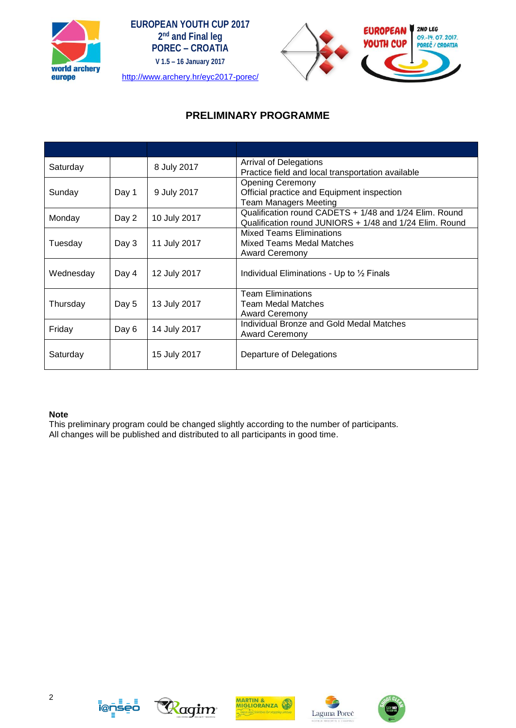





## **PRELIMINARY PROGRAMME**

| Saturday  |       | 8 July 2017  | <b>Arrival of Delegations</b><br>Practice field and local transportation available                                |
|-----------|-------|--------------|-------------------------------------------------------------------------------------------------------------------|
| Sunday    | Day 1 | 9 July 2017  | <b>Opening Ceremony</b><br>Official practice and Equipment inspection<br><b>Team Managers Meeting</b>             |
| Monday    | Day 2 | 10 July 2017 | Qualification round CADETS + 1/48 and 1/24 Elim. Round<br>Qualification round JUNIORS + 1/48 and 1/24 Elim. Round |
| Tuesday   | Day 3 | 11 July 2017 | <b>Mixed Teams Eliminations</b><br>Mixed Teams Medal Matches<br><b>Award Ceremony</b>                             |
| Wednesday | Day 4 | 12 July 2017 | Individual Eliminations - Up to 1/2 Finals                                                                        |
| Thursday  | Day 5 | 13 July 2017 | <b>Team Eliminations</b><br><b>Team Medal Matches</b><br><b>Award Ceremony</b>                                    |
| Friday    | Day 6 | 14 July 2017 | <b>Individual Bronze and Gold Medal Matches</b><br><b>Award Ceremony</b>                                          |
| Saturday  |       | 15 July 2017 | Departure of Delegations                                                                                          |

#### **Note**

This preliminary program could be changed slightly according to the number of participants. All changes will be published and distributed to all participants in good time.











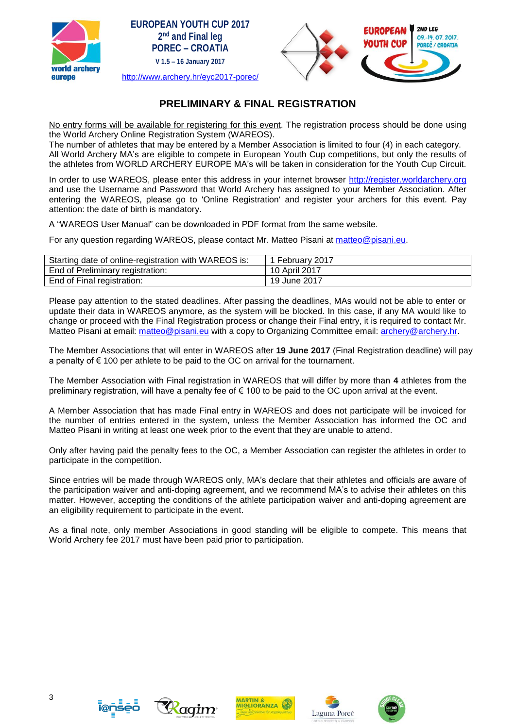





## **PRELIMINARY & FINAL REGISTRATION**

No entry forms will be available for registering for this event. The registration process should be done using the World Archery Online Registration System (WAREOS).

The number of athletes that may be entered by a Member Association is limited to four (4) in each category. All World Archery MA's are eligible to compete in European Youth Cup competitions, but only the results of the athletes from WORLD ARCHERY EUROPE MA's will be taken in consideration for the Youth Cup Circuit.

In order to use WAREOS, please enter this address in your internet browser [http://register.worldarchery.org](http://register.worldarchery.org/) and use the Username and Password that World Archery has assigned to your Member Association. After entering the WAREOS, please go to 'Online Registration' and register your archers for this event. Pay attention: the date of birth is mandatory.

A "WAREOS User Manual" can be downloaded in PDF format from the same website.

For any question regarding WAREOS, please contact Mr. Matteo Pisani at [matteo@pisani.eu.](mailto:matteo@pisani.eu)

| Starting date of online-registration with WAREOS is: | 1 February 2017 |
|------------------------------------------------------|-----------------|
| End of Preliminary registration:                     | 10 April 2017   |
| End of Final registration:                           | 19 June 2017    |

Please pay attention to the stated deadlines. After passing the deadlines, MAs would not be able to enter or update their data in WAREOS anymore, as the system will be blocked. In this case, if any MA would like to change or proceed with the Final Registration process or change their Final entry, it is required to contact Mr. Matteo Pisani at email: [matteo@pisani.eu](mailto:matteo@pisani.eu) with a copy to Organizing Committee email: [archery@archery.hr.](mailto:archery@archery.hr)

The Member Associations that will enter in WAREOS after **19 June 2017** (Final Registration deadline) will pay a penalty of  $\epsilon$  100 per athlete to be paid to the OC on arrival for the tournament.

The Member Association with Final registration in WAREOS that will differ by more than **4** athletes from the preliminary registration, will have a penalty fee of € 100 to be paid to the OC upon arrival at the event.

A Member Association that has made Final entry in WAREOS and does not participate will be invoiced for the number of entries entered in the system, unless the Member Association has informed the OC and Matteo Pisani in writing at least one week prior to the event that they are unable to attend.

Only after having paid the penalty fees to the OC, a Member Association can register the athletes in order to participate in the competition.

Since entries will be made through WAREOS only, MA's declare that their athletes and officials are aware of the participation waiver and anti-doping agreement, and we recommend MA's to advise their athletes on this matter. However, accepting the conditions of the athlete participation waiver and anti-doping agreement are an eligibility requirement to participate in the event.

As a final note, only member Associations in good standing will be eligible to compete. This means that World Archery fee 2017 must have been paid prior to participation.









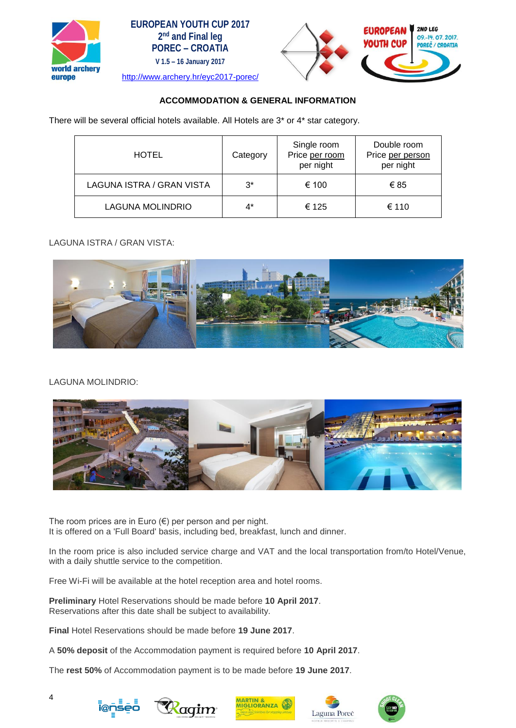





#### **ACCOMMODATION & GENERAL INFORMATION**

There will be several official hotels available. All Hotels are 3\* or 4\* star category.

| <b>HOTEL</b>              | Category | Single room<br>Price per room<br>per night | Double room<br>Price per person<br>per night |
|---------------------------|----------|--------------------------------------------|----------------------------------------------|
| LAGUNA ISTRA / GRAN VISTA | $3^*$    | € 100                                      | €85                                          |
| LAGUNA MOLINDRIO          | 4*       | € 125                                      | € 110                                        |

LAGUNA ISTRA / GRAN VISTA:



#### LAGUNA MOLINDRIO:



The room prices are in Euro  $(\epsilon)$  per person and per night. It is offered on a 'Full Board' basis, including bed, breakfast, lunch and dinner.

In the room price is also included service charge and VAT and the local transportation from/to Hotel/Venue, with a daily shuttle service to the competition.

Free Wi-Fi will be available at the hotel reception area and hotel rooms.

**Preliminary** Hotel Reservations should be made before **10 April 2017**. Reservations after this date shall be subject to availability.

**Final** Hotel Reservations should be made before **19 June 2017**.

A **50% deposit** of the Accommodation payment is required before **10 April 2017**.

The **rest 50%** of Accommodation payment is to be made before **19 June 2017**.









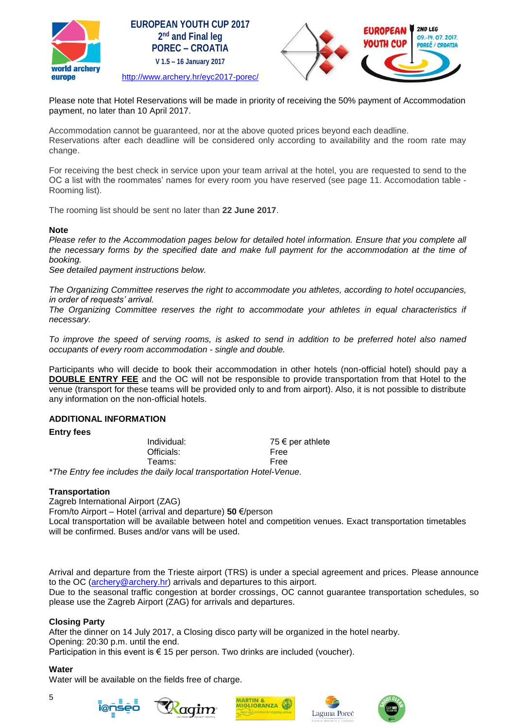





Please note that Hotel Reservations will be made in priority of receiving the 50% payment of Accommodation payment, no later than 10 April 2017.

Accommodation cannot be guaranteed, nor at the above quoted prices beyond each deadline. Reservations after each deadline will be considered only according to availability and the room rate may change.

For receiving the best check in service upon your team arrival at the hotel, you are requested to send to the OC a list with the roommates' names for every room you have reserved (see page 11. Accomodation table - Rooming list).

The rooming list should be sent no later than **22 June 2017**.

#### **Note**

*Please refer to the Accommodation pages below for detailed hotel information. Ensure that you complete all the necessary forms by the specified date and make full payment for the accommodation at the time of booking.*

*See detailed payment instructions below.*

*The Organizing Committee reserves the right to accommodate you athletes, according to hotel occupancies, in order of requests' arrival.*

*The Organizing Committee reserves the right to accommodate your athletes in equal characteristics if necessary.* 

*To improve the speed of serving rooms, is asked to send in addition to be preferred hotel also named occupants of every room accommodation - single and double.*

Participants who will decide to book their accommodation in other hotels (non-official hotel) should pay a **DOUBLE ENTRY FEE** and the OC will not be responsible to provide transportation from that Hotel to the venue (transport for these teams will be provided only to and from airport). Also, it is not possible to distribute any information on the non-official hotels.

#### **ADDITIONAL INFORMATION**

#### **Entry fees**

Officials: Free Teams: Free

Individual: 75 € per athlete

*\*The Entry fee includes the daily local transportation Hotel-Venue.*

#### **Transportation**

Zagreb International Airport (ZAG)

From/to Airport – Hotel (arrival and departure) **50** €/person

Local transportation will be available between hotel and competition venues. Exact transportation timetables will be confirmed. Buses and/or vans will be used.

Arrival and departure from the Trieste airport (TRS) is under a special agreement and prices. Please announce to the OC [\(archery@archery.hr\)](mailto:archery@archery.hr) arrivals and departures to this airport.

Due to the seasonal traffic congestion at border crossings, OC cannot guarantee transportation schedules, so please use the Zagreb Airport (ZAG) for arrivals and departures.

#### **Closing Party**

After the dinner on 14 July 2017, a Closing disco party will be organized in the hotel nearby. Opening: 20:30 p.m. until the end. Participation in this event is  $\epsilon$  15 per person. Two drinks are included (voucher).

#### **Water**

Water will be available on the fields free of charge.



5







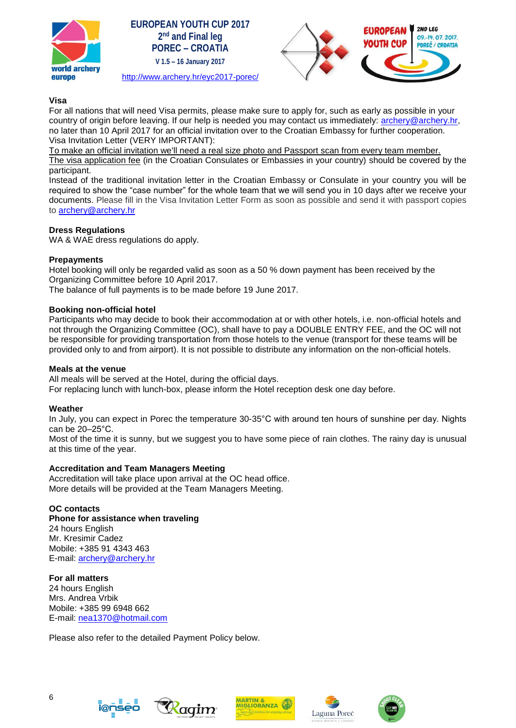





#### **Visa**

For all nations that will need Visa permits, please make sure to apply for, such as early as possible in your country of origin before leaving. If our help is needed you may contact us immediately: [archery@archery.hr,](mailto:archery@archery.hr) no later than 10 April 2017 for an official invitation over to the Croatian Embassy for further cooperation. Visa Invitation Letter (VERY IMPORTANT):

To make an official invitation we'll need a real size photo and Passport scan from every team member.

The visa application fee (in the Croatian Consulates or Embassies in your country) should be covered by the participant.

Instead of the traditional invitation letter in the Croatian Embassy or Consulate in your country you will be required to show the "case number" for the whole team that we will send you in 10 days after we receive your documents. Please fill in the Visa Invitation Letter Form as soon as possible and send it with passport copies to [archery@archery.hr](mailto:archery@archery.hr)

#### **Dress Regulations**

WA & WAE dress regulations do apply.

#### **Prepayments**

Hotel booking will only be regarded valid as soon as a 50 % down payment has been received by the Organizing Committee before 10 April 2017.

The balance of full payments is to be made before 19 June 2017.

#### **Booking non-official hotel**

Participants who may decide to book their accommodation at or with other hotels, i.e. non-official hotels and not through the Organizing Committee (OC), shall have to pay a DOUBLE ENTRY FEE, and the OC will not be responsible for providing transportation from those hotels to the venue (transport for these teams will be provided only to and from airport). It is not possible to distribute any information on the non-official hotels.

#### **Meals at the venue**

All meals will be served at the Hotel, during the official days.

For replacing lunch with lunch-box, please inform the Hotel reception desk one day before.

#### **Weather**

In July, you can expect in Porec the temperature 30-35°C with around ten hours of sunshine per day. Nights can be 20–25°C.

Most of the time it is sunny, but we suggest you to have some piece of rain clothes. The rainy day is unusual at this time of the year.

#### **Accreditation and Team Managers Meeting**

Accreditation will take place upon arrival at the OC head office. More details will be provided at the Team Managers Meeting.

#### **OC contacts**

**Phone for assistance when traveling** 24 hours English Mr. Kresimir Cadez Mobile: +385 91 4343 463 E-mail: [archery@archery.hr](mailto:archery@archery.hr)

**For all matters** 24 hours English Mrs. Andrea Vrbik Mobile: +385 99 6948 662 E-mail: [nea1370@hotmail.com](mailto:nea1370@hotmail.com)

Please also refer to the detailed Payment Policy below.









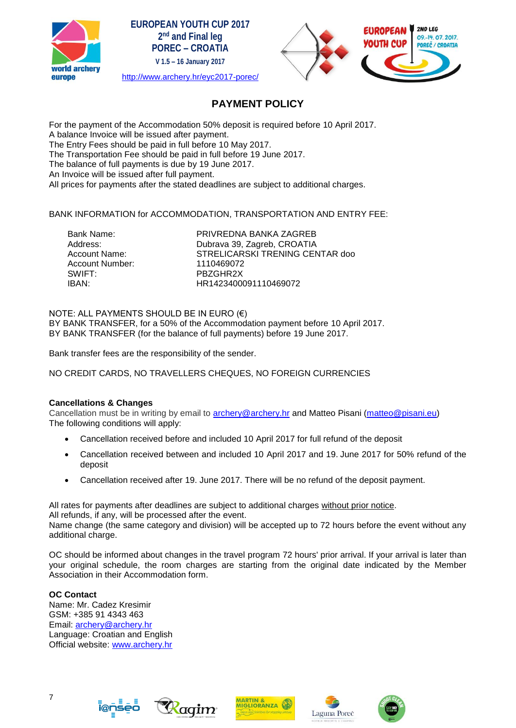

| <b>EUROPEAN YOUTH CUP 2017</b>       |
|--------------------------------------|
| 2 <sup>nd</sup> and Final leg        |
| <b>POREC – CROATIA</b>               |
| V 1.5 - 16 January 2017              |
| http://www.archery.hr/eyc2017-porec/ |



## **PAYMENT POLICY**

For the payment of the Accommodation 50% deposit is required before 10 April 2017. A balance Invoice will be issued after payment. The Entry Fees should be paid in full before 10 May 2017. The Transportation Fee should be paid in full before 19 June 2017. The balance of full payments is due by 19 June 2017. An Invoice will be issued after full payment. All prices for payments after the stated deadlines are subject to additional charges.

BANK INFORMATION for ACCOMMODATION, TRANSPORTATION AND ENTRY FEE:

Account Number: 1110469072 SWIFT: PBZGHR2X

Bank Name: PRIVREDNA BANKA ZAGREB<br>Address: Dubraya 39 Zagreb CROATIA Dubrava 39, Zagreb, CROATIA Account Name: STRELICARSKI TRENING CENTAR doo IBAN: HR1423400091110469072

#### NOTE: ALL PAYMENTS SHOULD BE IN EURO (€)

BY BANK TRANSFER, for a 50% of the Accommodation payment before 10 April 2017. BY BANK TRANSFER (for the balance of full payments) before 19 June 2017.

Bank transfer fees are the responsibility of the sender.

NO CREDIT CARDS, NO TRAVELLERS CHEQUES, NO FOREIGN CURRENCIES

#### **Cancellations & Changes**

Cancellation must be in writing by email to [archery@archery.hr](mailto:archery@archery.hr) and Matteo Pisani [\(matteo@pisani.eu\)](mailto:matteo@pisani.eu) The following conditions will apply:

- Cancellation received before and included 10 April 2017 for full refund of the deposit
- Cancellation received between and included 10 April 2017 and 19. June 2017 for 50% refund of the deposit
- Cancellation received after 19. June 2017. There will be no refund of the deposit payment.

All rates for payments after deadlines are subject to additional charges without prior notice. All refunds, if any, will be processed after the event.

Name change (the same category and division) will be accepted up to 72 hours before the event without any additional charge.

OC should be informed about changes in the travel program 72 hours' prior arrival. If your arrival is later than your original schedule, the room charges are starting from the original date indicated by the Member Association in their Accommodation form.

#### **OC Contact**

Name: Mr. Cadez Kresimir GSM: +385 91 4343 463 Email: [archery@archery.hr](mailto:archery@archery.hr) Language: Croatian and English Official website: [www.archery.hr](http://www.archery.hr/)









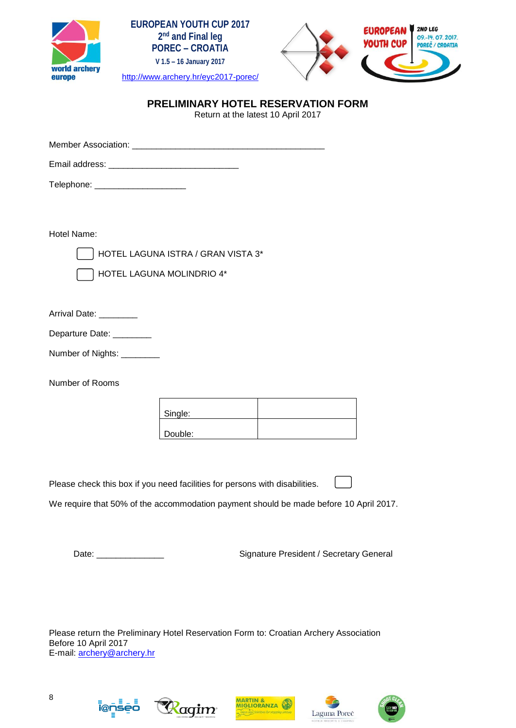





## **PRELIMINARY HOTEL RESERVATION FORM**

Return at the latest 10 April 2017

Member Association: \_\_\_\_\_\_\_\_\_\_\_\_\_\_\_\_\_\_\_\_\_\_\_\_\_\_\_\_\_\_\_\_\_\_\_\_\_\_\_\_ Email address: \_\_\_\_\_\_\_\_\_\_\_\_\_\_\_\_\_\_\_\_\_\_\_\_\_\_\_ Telephone: \_\_\_\_\_\_\_\_\_\_\_\_\_\_\_\_\_\_\_ Hotel Name: HOTEL LAGUNA ISTRA / GRAN VISTA 3\* HOTEL LAGUNA MOLINDRIO 4\* Arrival Date: \_\_\_\_\_\_\_\_ Departure Date: \_\_\_\_\_\_\_\_ Number of Nights: \_\_\_\_\_\_\_\_\_ Number of Rooms Single: Double:

Please check this box if you need facilities for persons with disabilities.

We require that 50% of the accommodation payment should be made before 10 April 2017.

Date: \_\_\_\_\_\_\_\_\_\_\_\_\_\_ Signature President / Secretary General

Please return the Preliminary Hotel Reservation Form to: Croatian Archery Association Before 10 April 2017 E-mail: [archery@archery.hr](mailto:archery@archery.hr)









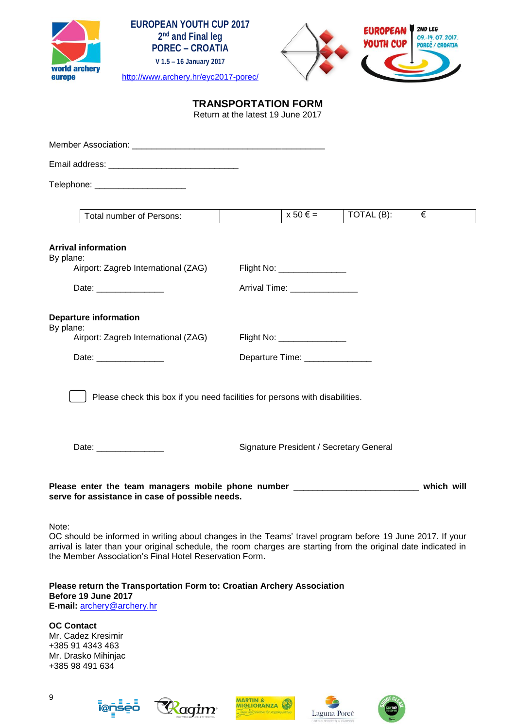





## **TRANSPORTATION FORM**

Return at the latest 19 June 2017

| Telephone: ________________________                                                                                                                                                                                                                                                            |                                 |                                         |   |
|------------------------------------------------------------------------------------------------------------------------------------------------------------------------------------------------------------------------------------------------------------------------------------------------|---------------------------------|-----------------------------------------|---|
|                                                                                                                                                                                                                                                                                                |                                 |                                         |   |
| Total number of Persons:                                                                                                                                                                                                                                                                       | $x 50 \in$ =                    | TOTAL (B):                              | € |
| <b>Arrival information</b><br>By plane:                                                                                                                                                                                                                                                        |                                 |                                         |   |
| Airport: Zagreb International (ZAG)                                                                                                                                                                                                                                                            | Flight No: _______________      |                                         |   |
| Date: ________________                                                                                                                                                                                                                                                                         | Arrival Time: _______________   |                                         |   |
| <b>Departure information</b><br>By plane:                                                                                                                                                                                                                                                      |                                 |                                         |   |
| Airport: Zagreb International (ZAG)                                                                                                                                                                                                                                                            | Flight No: ________________     |                                         |   |
| Date: _______________                                                                                                                                                                                                                                                                          | Departure Time: _______________ |                                         |   |
| Date: _________________                                                                                                                                                                                                                                                                        |                                 | Signature President / Secretary General |   |
| Please enter the team managers mobile phone number ______________________________ which will<br>serve for assistance in case of possible needs.                                                                                                                                                |                                 |                                         |   |
| Note:<br>OC should be informed in writing about changes in the Teams' travel program before 19 June 2017. If your<br>arrival is later than your original schedule, the room charges are starting from the original date indicated in<br>the Member Association's Final Hotel Reservation Form. |                                 |                                         |   |
| Please return the Transportation Form to: Croatian Archery Association<br>Before 19 June 2017<br>E-mail: archery@archery.hr                                                                                                                                                                    |                                 |                                         |   |
| <b>OC Contact</b><br>Mr. Cadez Kresimir<br>+385 91 4343 463<br>Mr. Drasko Mihinjac<br>+385 98 491 634                                                                                                                                                                                          |                                 |                                         |   |









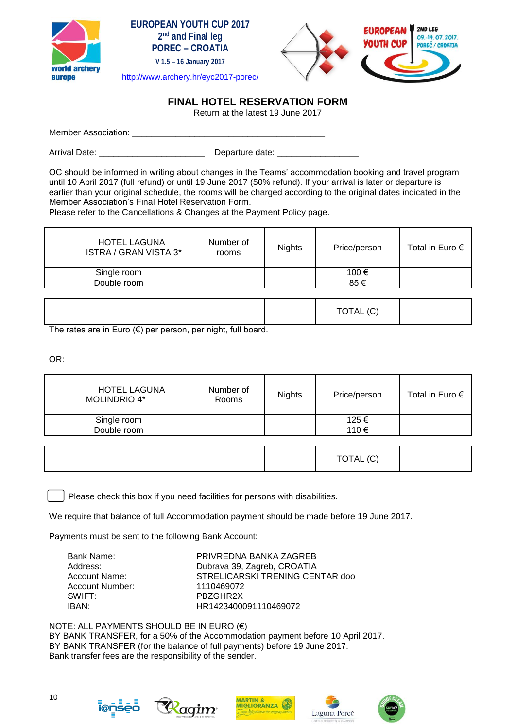





### <http://www.archery.hr/eyc2017-porec/>

## **FINAL HOTEL RESERVATION FORM**

Return at the latest 19 June 2017

Member Association:

Arrival Date: \_\_\_\_\_\_\_\_\_\_\_\_\_\_\_\_\_\_\_\_\_\_ Departure date: \_\_\_\_\_\_\_\_\_\_\_\_\_\_\_\_\_

OC should be informed in writing about changes in the Teams' accommodation booking and travel program until 10 April 2017 (full refund) or until 19 June 2017 (50% refund). If your arrival is later or departure is earlier than your original schedule, the rooms will be charged according to the original dates indicated in the Member Association's Final Hotel Reservation Form.

Please refer to the Cancellations & Changes at the Payment Policy page.

| Number of<br>rooms | <b>Nights</b> | Price/person | Total in Euro $\epsilon$ |
|--------------------|---------------|--------------|--------------------------|
|                    |               | 100 €        |                          |
|                    |               | 85€          |                          |
|                    |               |              |                          |

|--|

The rates are in Euro (€) per person, per night, full board.

OR:

| <b>HOTEL LAGUNA</b><br><b>MOLINDRIO 4*</b> | Number of<br>Rooms | <b>Nights</b> | Price/person | Total in Euro $\epsilon$ |
|--------------------------------------------|--------------------|---------------|--------------|--------------------------|
| Single room                                |                    |               | 125 €        |                          |
| Double room                                |                    |               | 110€         |                          |

|  |  | $\sim$<br><b>TOTAL</b><br>IVIAL<br>◡ |  |
|--|--|--------------------------------------|--|
|--|--|--------------------------------------|--|

Please check this box if you need facilities for persons with disabilities.

We require that balance of full Accommodation payment should be made before 19 June 2017.

Payments must be sent to the following Bank Account:

| Bank Name:      | PRIVREDNA BANKA ZAGREB          |
|-----------------|---------------------------------|
| Address:        | Dubrava 39, Zagreb, CROATIA     |
| Account Name:   | STRELICARSKI TRENING CENTAR doo |
| Account Number: | 1110469072                      |
| SWIFT:          | PBZGHR2X                        |
| IBAN:           | HR1423400091110469072           |

NOTE: ALL PAYMENTS SHOULD BE IN EURO (€) BY BANK TRANSFER, for a 50% of the Accommodation payment before 10 April 2017. BY BANK TRANSFER (for the balance of full payments) before 19 June 2017. Bank transfer fees are the responsibility of the sender.









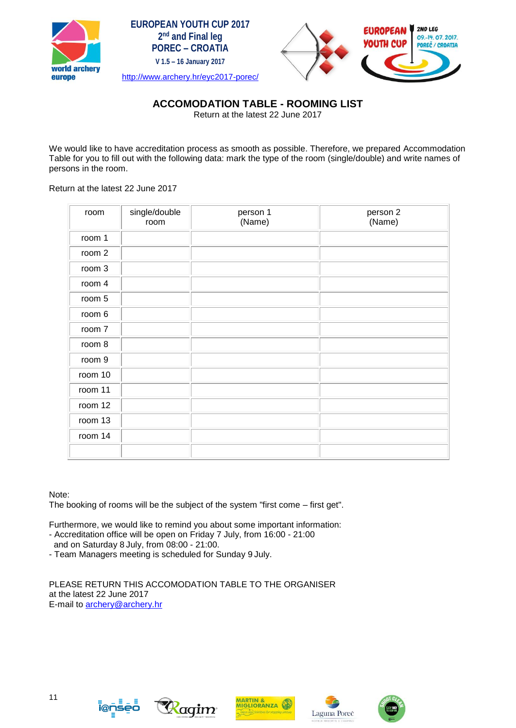





## **ACCOMODATION TABLE - ROOMING LIST**

Return at the latest 22 June 2017

We would like to have accreditation process as smooth as possible. Therefore, we prepared Accommodation Table for you to fill out with the following data: mark the type of the room (single/double) and write names of persons in the room.

#### Return at the latest 22 June 2017

| room    | single/double<br>room | person 1<br>(Name) | person 2<br>(Name) |
|---------|-----------------------|--------------------|--------------------|
| room 1  |                       |                    |                    |
| room 2  |                       |                    |                    |
| room 3  |                       |                    |                    |
| room 4  |                       |                    |                    |
| room 5  |                       |                    |                    |
| room 6  |                       |                    |                    |
| room 7  |                       |                    |                    |
| room 8  |                       |                    |                    |
| room 9  |                       |                    |                    |
| room 10 |                       |                    |                    |
| room 11 |                       |                    |                    |
| room 12 |                       |                    |                    |
| room 13 |                       |                    |                    |
| room 14 |                       |                    |                    |
|         |                       |                    |                    |

#### Note:

The booking of rooms will be the subject of the system "first come – first get".

Furthermore, we would like to remind you about some important information:

- Accreditation office will be open on Friday 7 July, from 16:00 21:00 and on Saturday 8 July, from 08:00 - 21:00.
- Team Managers meeting is scheduled for Sunday 9 July.

PLEASE RETURN THIS ACCOMODATION TABLE TO THE ORGANISER at the latest 22 June 2017 E-mail to [archery@archery.hr](mailto:archery@archery.hr)









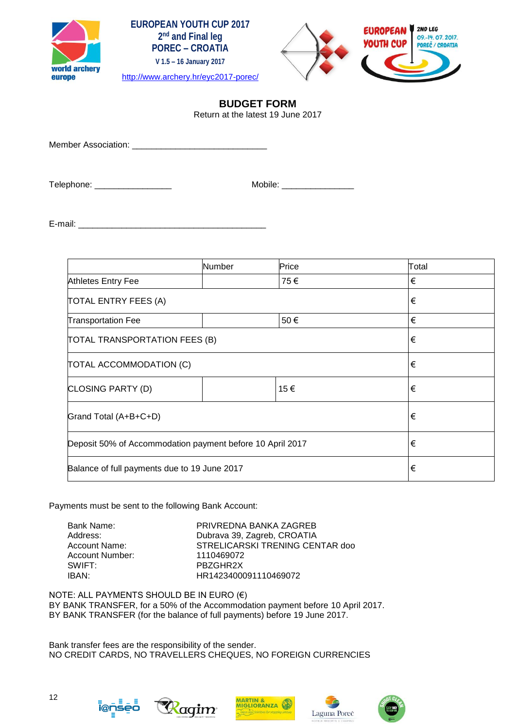





## **BUDGET FORM**

Return at the latest 19 June 2017

Member Association: \_\_\_\_\_\_\_\_\_\_\_\_\_\_\_\_\_\_\_\_\_\_\_\_\_\_\_\_

Telephone: \_\_\_\_\_\_\_\_\_\_\_\_\_\_\_\_ Mobile: \_\_\_\_\_\_\_\_\_\_\_\_\_\_\_

E-mail:  $\blacksquare$ 

|                                                           | Number | Price | Total |
|-----------------------------------------------------------|--------|-------|-------|
| Athletes Entry Fee                                        |        | 75€   | €     |
| <b>TOTAL ENTRY FEES (A)</b>                               | €      |       |       |
| <b>Transportation Fee</b>                                 |        | 50€   | €     |
| TOTAL TRANSPORTATION FEES (B)                             | €      |       |       |
| TOTAL ACCOMMODATION (C)                                   | €      |       |       |
| CLOSING PARTY (D)                                         |        | 15€   | €     |
| Grand Total (A+B+C+D)                                     | €      |       |       |
| Deposit 50% of Accommodation payment before 10 April 2017 | €      |       |       |
| Balance of full payments due to 19 June 2017              | €      |       |       |

Payments must be sent to the following Bank Account:

Account Number: 1110469072 SWIFT: PBZGHR2X

Bank Name: The Sanction of PRIVREDNA BANKA ZAGREB<br>Address: Dubrava 39. Zagreb. CROATIA Dubrava 39, Zagreb, CROATIA Account Name: STRELICARSKI TRENING CENTAR doo IBAN: HR1423400091110469072

NOTE: ALL PAYMENTS SHOULD BE IN EURO (€) BY BANK TRANSFER, for a 50% of the Accommodation payment before 10 April 2017. BY BANK TRANSFER (for the balance of full payments) before 19 June 2017.

Bank transfer fees are the responsibility of the sender. NO CREDIT CARDS, NO TRAVELLERS CHEQUES, NO FOREIGN CURRENCIES